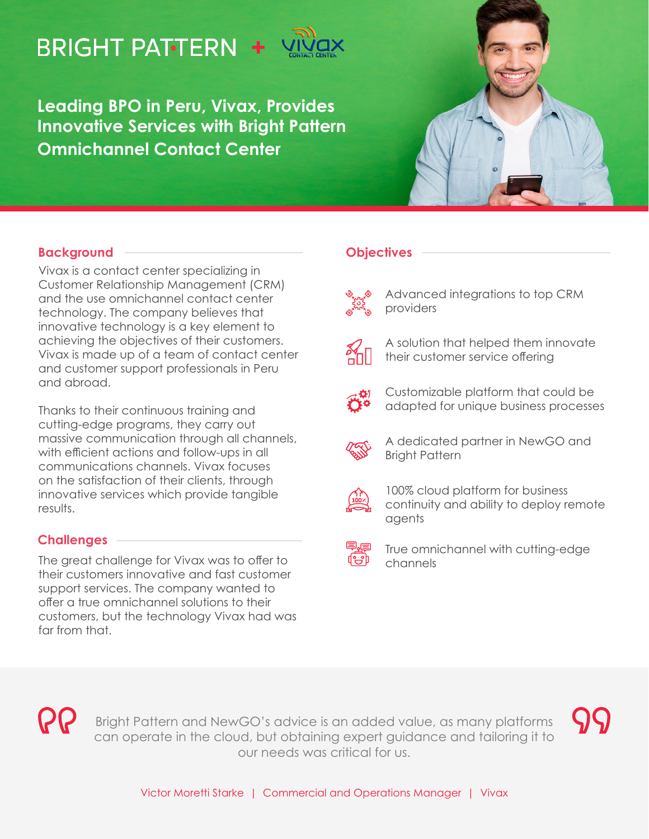# **BRIGHT PATTERN +**

**Leading BPO in Peru, Vivax, Provides Innovative Services with Bright Pattern Omnichannel Contact Center**



#### **Background**

Vivax is a contact center specializing in Customer Relationship Management (CRM) and the use omnichannel contact center technology. The company believes that innovative technology is a key element to achieving the objectives of their customers. Vivax is made up of a team of contact center and customer support professionals in Peru and abroad.

Thanks to their continuous training and cutting-edge programs, they carry out massive communication through all channels, with efficient actions and follow-ups in all communications channels. Vivax focuses on the satisfaction of their clients, through innovative services which provide tangible results.

## **Challenges**

The great challenge for Vivax was to offer to their customers innovative and fast customer support services. The company wanted to offer a true omnichannel solutions to their customers, but the technology Vivax had was far from that.

### **Objectives**



Advanced integrations to top CRM providers



A solution that helped them innovate their customer service offering



Customizable platform that could be adapted for unique business processes



A dedicated partner in NewGO and Bright Pattern



100% cloud platform for business continuity and ability to deploy remote agents



True omnichannel with cutting-edge channels



Bright Pattern and NewGO's advice is an added value, as many platforms can operate in the cloud, but obtaining expert guidance and tailoring it to our needs was critical for us.